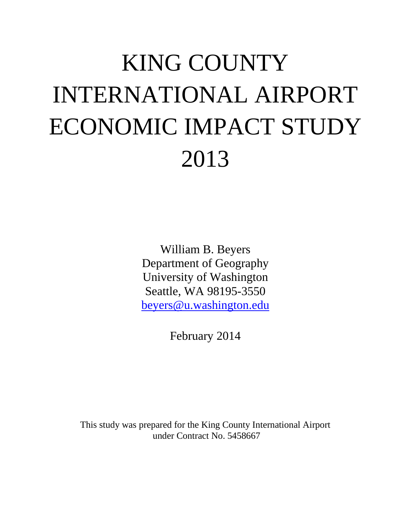# KING COUNTY INTERNATIONAL AIRPORT ECONOMIC IMPACT STUDY 2013

William B. Beyers Department of Geography University of Washington Seattle, WA 98195-3550 [beyers@u.washington.edu](mailto:beyers@u.washington.edu)

February 2014

This study was prepared for the King County International Airport under Contract No. 5458667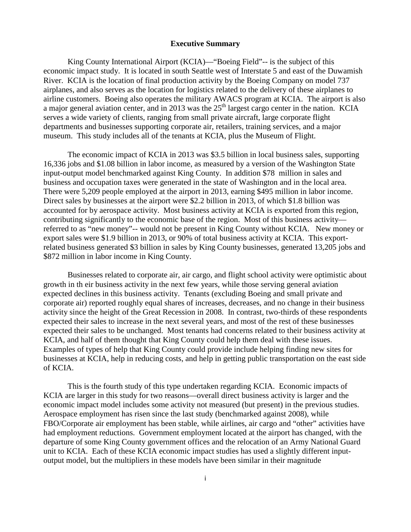#### **Executive Summary**

King County International Airport (KCIA)—"Boeing Field"-- is the subject of this economic impact study. It is located in south Seattle west of Interstate 5 and east of the Duwamish River. KCIA is the location of final production activity by the Boeing Company on model 737 airplanes, and also serves as the location for logistics related to the delivery of these airplanes to airline customers. Boeing also operates the military AWACS program at KCIA. The airport is also a major general aviation center, and in 2013 was the 25<sup>th</sup> largest cargo center in the nation. KCIA serves a wide variety of clients, ranging from small private aircraft, large corporate flight departments and businesses supporting corporate air, retailers, training services, and a major museum. This study includes all of the tenants at KCIA, plus the Museum of Flight.

The economic impact of KCIA in 2013 was \$3.5 billion in local business sales, supporting 16,336 jobs and \$1.08 billion in labor income, as measured by a version of the Washington State input-output model benchmarked against King County. In addition \$78 million in sales and business and occupation taxes were generated in the state of Washington and in the local area. There were 5,209 people employed at the airport in 2013, earning \$495 million in labor income. Direct sales by businesses at the airport were \$2.2 billion in 2013, of which \$1.8 billion was accounted for by aerospace activity. Most business activity at KCIA is exported from this region, contributing significantly to the economic base of the region. Most of this business activity referred to as "new money"-- would not be present in King County without KCIA. New money or export sales were \$1.9 billion in 2013, or 90% of total business activity at KCIA. This exportrelated business generated \$3 billion in sales by King County businesses, generated 13,205 jobs and \$872 million in labor income in King County.

Businesses related to corporate air, air cargo, and flight school activity were optimistic about growth in th eir business activity in the next few years, while those serving general aviation expected declines in this business activity. Tenants (excluding Boeing and small private and corporate air) reported roughly equal shares of increases, decreases, and no change in their business activity since the height of the Great Recession in 2008. In contrast, two-thirds of these respondents expected their sales to increase in the next several years, and most of the rest of these businesses expected their sales to be unchanged. Most tenants had concerns related to their business activity at KCIA, and half of them thought that King County could help them deal with these issues. Examples of types of help that King County could provide include helping finding new sites for businesses at KCIA, help in reducing costs, and help in getting public transportation on the east side of KCIA.

This is the fourth study of this type undertaken regarding KCIA. Economic impacts of KCIA are larger in this study for two reasons—overall direct business activity is larger and the economic impact model includes some activity not measured (but present) in the previous studies. Aerospace employment has risen since the last study (benchmarked against 2008), while FBO/Corporate air employment has been stable, while airlines, air cargo and "other" activities have had employment reductions. Government employment located at the airport has changed, with the departure of some King County government offices and the relocation of an Army National Guard unit to KCIA. Each of these KCIA economic impact studies has used a slightly different inputoutput model, but the multipliers in these models have been similar in their magnitude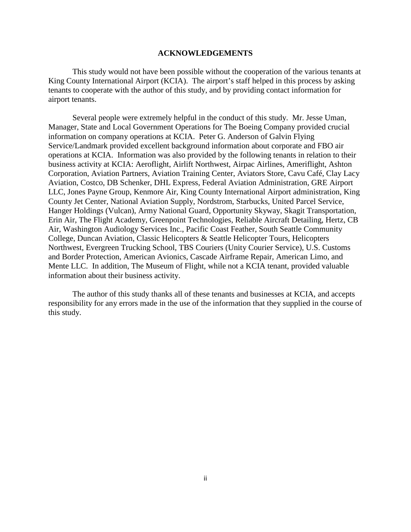#### **ACKNOWLEDGEMENTS**

This study would not have been possible without the cooperation of the various tenants at King County International Airport (KCIA). The airport's staff helped in this process by asking tenants to cooperate with the author of this study, and by providing contact information for airport tenants.

Several people were extremely helpful in the conduct of this study. Mr. Jesse Uman, Manager, State and Local Government Operations for The Boeing Company provided crucial information on company operations at KCIA. Peter G. Anderson of Galvin Flying Service/Landmark provided excellent background information about corporate and FBO air operations at KCIA. Information was also provided by the following tenants in relation to their business activity at KCIA: Aeroflight, Airlift Northwest, Airpac Airlines, Ameriflight, Ashton Corporation, Aviation Partners, Aviation Training Center, Aviators Store, Cavu Café, Clay Lacy Aviation, Costco, DB Schenker, DHL Express, Federal Aviation Administration, GRE Airport LLC, Jones Payne Group, Kenmore Air, King County International Airport administration, King County Jet Center, National Aviation Supply, Nordstrom, Starbucks, United Parcel Service, Hanger Holdings (Vulcan), Army National Guard, Opportunity Skyway, Skagit Transportation, Erin Air, The Flight Academy, Greenpoint Technologies, Reliable Aircraft Detailing, Hertz, CB Air, Washington Audiology Services Inc., Pacific Coast Feather, South Seattle Community College, Duncan Aviation, Classic Helicopters & Seattle Helicopter Tours, Helicopters Northwest, Evergreen Trucking School, TBS Couriers (Unity Courier Service), U.S. Customs and Border Protection, American Avionics, Cascade Airframe Repair, American Limo, and Mente LLC. In addition, The Museum of Flight, while not a KCIA tenant, provided valuable information about their business activity.

The author of this study thanks all of these tenants and businesses at KCIA, and accepts responsibility for any errors made in the use of the information that they supplied in the course of this study.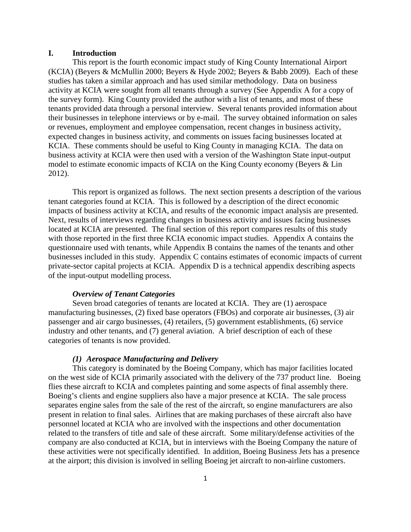#### **I. Introduction**

This report is the fourth economic impact study of King County International Airport (KCIA) (Beyers & McMullin 2000; Beyers & Hyde 2002; Beyers & Babb 2009). Each of these studies has taken a similar approach and has used similar methodology. Data on business activity at KCIA were sought from all tenants through a survey (See Appendix A for a copy of the survey form). King County provided the author with a list of tenants, and most of these tenants provided data through a personal interview. Several tenants provided information about their businesses in telephone interviews or by e-mail. The survey obtained information on sales or revenues, employment and employee compensation, recent changes in business activity, expected changes in business activity, and comments on issues facing businesses located at KCIA. These comments should be useful to King County in managing KCIA. The data on business activity at KCIA were then used with a version of the Washington State input-output model to estimate economic impacts of KCIA on the King County economy (Beyers & Lin 2012).

This report is organized as follows. The next section presents a description of the various tenant categories found at KCIA. This is followed by a description of the direct economic impacts of business activity at KCIA, and results of the economic impact analysis are presented. Next, results of interviews regarding changes in business activity and issues facing businesses located at KCIA are presented. The final section of this report compares results of this study with those reported in the first three KCIA economic impact studies. Appendix A contains the questionnaire used with tenants, while Appendix B contains the names of the tenants and other businesses included in this study. Appendix C contains estimates of economic impacts of current private-sector capital projects at KCIA. Appendix D is a technical appendix describing aspects of the input-output modelling process.

#### *Overview of Tenant Categories*

Seven broad categories of tenants are located at KCIA. They are (1) aerospace manufacturing businesses, (2) fixed base operators (FBOs) and corporate air businesses, (3) air passenger and air cargo businesses, (4) retailers, (5) government establishments, (6) service industry and other tenants, and (7) general aviation. A brief description of each of these categories of tenants is now provided.

#### *(1) Aerospace Manufacturing and Delivery*

This category is dominated by the Boeing Company, which has major facilities located on the west side of KCIA primarily associated with the delivery of the 737 product line. Boeing flies these aircraft to KCIA and completes painting and some aspects of final assembly there. Boeing's clients and engine suppliers also have a major presence at KCIA. The sale process separates engine sales from the sale of the rest of the aircraft, so engine manufacturers are also present in relation to final sales. Airlines that are making purchases of these aircraft also have personnel located at KCIA who are involved with the inspections and other documentation related to the transfers of title and sale of these aircraft. Some military/defense activities of the company are also conducted at KCIA, but in interviews with the Boeing Company the nature of these activities were not specifically identified. In addition, Boeing Business Jets has a presence at the airport; this division is involved in selling Boeing jet aircraft to non-airline customers.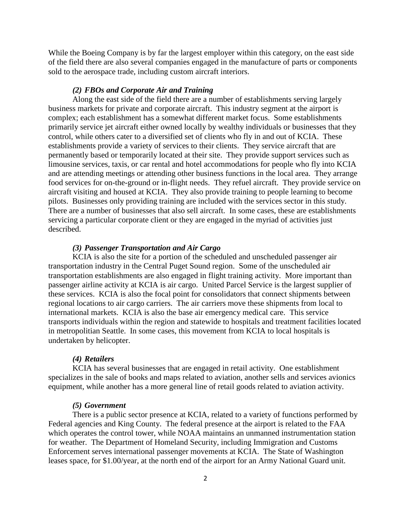While the Boeing Company is by far the largest employer within this category, on the east side of the field there are also several companies engaged in the manufacture of parts or components sold to the aerospace trade, including custom aircraft interiors.

#### *(2) FBOs and Corporate Air and Training*

Along the east side of the field there are a number of establishments serving largely business markets for private and corporate aircraft. This industry segment at the airport is complex; each establishment has a somewhat different market focus. Some establishments primarily service jet aircraft either owned locally by wealthy individuals or businesses that they control, while others cater to a diversified set of clients who fly in and out of KCIA. These establishments provide a variety of services to their clients. They service aircraft that are permanently based or temporarily located at their site. They provide support services such as limousine services, taxis, or car rental and hotel accommodations for people who fly into KCIA and are attending meetings or attending other business functions in the local area. They arrange food services for on-the-ground or in-flight needs. They refuel aircraft. They provide service on aircraft visiting and housed at KCIA. They also provide training to people learning to become pilots. Businesses only providing training are included with the services sector in this study. There are a number of businesses that also sell aircraft. In some cases, these are establishments servicing a particular corporate client or they are engaged in the myriad of activities just described.

#### *(3) Passenger Transportation and Air Cargo*

KCIA is also the site for a portion of the scheduled and unscheduled passenger air transportation industry in the Central Puget Sound region. Some of the unscheduled air transportation establishments are also engaged in flight training activity. More important than passenger airline activity at KCIA is air cargo. United Parcel Service is the largest supplier of these services. KCIA is also the focal point for consolidators that connect shipments between regional locations to air cargo carriers. The air carriers move these shipments from local to international markets. KCIA is also the base air emergency medical care. This service transports individuals within the region and statewide to hospitals and treatment facilities located in metropolitian Seattle. In some cases, this movement from KCIA to local hospitals is undertaken by helicopter.

#### *(4) Retailers*

KCIA has several businesses that are engaged in retail activity. One establishment specializes in the sale of books and maps related to aviation, another sells and services avionics equipment, while another has a more general line of retail goods related to aviation activity.

#### *(5) Government*

There is a public sector presence at KCIA, related to a variety of functions performed by Federal agencies and King County. The federal presence at the airport is related to the FAA which operates the control tower, while NOAA maintains an unmanned instrumentation station for weather. The Department of Homeland Security, including Immigration and Customs Enforcement serves international passenger movements at KCIA. The State of Washington leases space, for \$1.00/year, at the north end of the airport for an Army National Guard unit.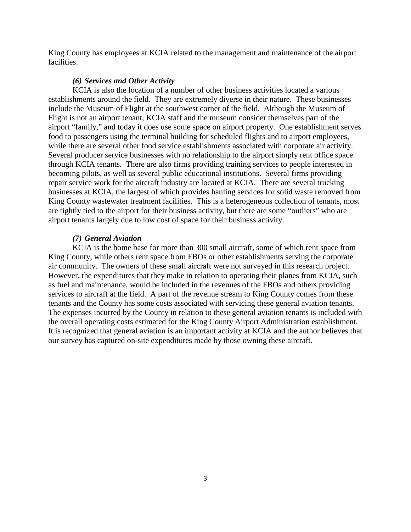King County has employees at KCIA related to the management and maintenance of the airport facilities.

#### *(6) Services and Other Activity*

KCIA is also the location of a number of other business activities located a various establishments around the field. They are extremely diverse in their nature. These businesses include the Museum of Flight at the southwest corner of the field. Although the Museum of Flight is not an airport tenant, KCIA staff and the museum consider themselves part of the airport "family," and today it does use some space on airport property. One establishment serves food to passengers using the terminal building for scheduled flights and to airport employees, while there are several other food service establishments associated with corporate air activity. Several producer service businesses with no relationship to the airport simply rent office space through KCIA tenants. There are also firms providing training services to people interested in becoming pilots, as well as several public educational institutions. Several firms providing repair service work for the aircraft industry are located at KCIA. There are several trucking businesses at KCIA, the largest of which provides hauling services for solid waste removed from King County wastewater treatment facilities. This is a heterogeneous collection of tenants, most are tightly tied to the airport for their business activity, but there are some "outliers" who are airport tenants largely due to low cost of space for their business activity.

#### *(7) General Aviation*

KCIA is the home base for more than 300 small aircraft, some of which rent space from King County, while others rent space from FBOs or other establishments serving the corporate air community. The owners of these small aircraft were not surveyed in this research project. However, the expenditures that they make in relation to operating their planes from KCIA, such as fuel and maintenance, would be included in the revenues of the FBOs and others providing services to aircraft at the field. A part of the revenue stream to King County comes from these tenants and the County has some costs associated with servicing these general aviation tenants. The expenses incurred by the County in relation to these general aviation tenants is included with the overall operating costs estimated for the King County Airport Administration establishment. It is recognized that general aviation is an important activity at KCIA and the author believes that our survey has captured on-site expenditures made by those owning these aircraft.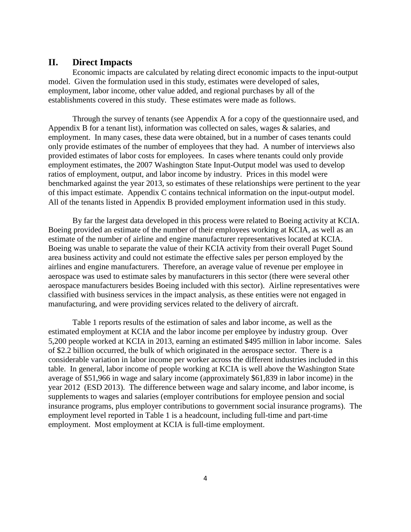# **II. Direct Impacts**

Economic impacts are calculated by relating direct economic impacts to the input-output model. Given the formulation used in this study, estimates were developed of sales, employment, labor income, other value added, and regional purchases by all of the establishments covered in this study. These estimates were made as follows.

Through the survey of tenants (see Appendix A for a copy of the questionnaire used, and Appendix B for a tenant list), information was collected on sales, wages & salaries, and employment. In many cases, these data were obtained, but in a number of cases tenants could only provide estimates of the number of employees that they had. A number of interviews also provided estimates of labor costs for employees. In cases where tenants could only provide employment estimates, the 2007 Washington State Input-Output model was used to develop ratios of employment, output, and labor income by industry. Prices in this model were benchmarked against the year 2013, so estimates of these relationships were pertinent to the year of this impact estimate. Appendix C contains technical information on the input-output model. All of the tenants listed in Appendix B provided employment information used in this study.

By far the largest data developed in this process were related to Boeing activity at KCIA. Boeing provided an estimate of the number of their employees working at KCIA, as well as an estimate of the number of airline and engine manufacturer representatives located at KCIA. Boeing was unable to separate the value of their KCIA activity from their overall Puget Sound area business activity and could not estimate the effective sales per person employed by the airlines and engine manufacturers. Therefore, an average value of revenue per employee in aerospace was used to estimate sales by manufacturers in this sector (there were several other aerospace manufacturers besides Boeing included with this sector). Airline representatives were classified with business services in the impact analysis, as these entities were not engaged in manufacturing, and were providing services related to the delivery of aircraft.

Table 1 reports results of the estimation of sales and labor income, as well as the estimated employment at KCIA and the labor income per employee by industry group. Over 5,200 people worked at KCIA in 2013, earning an estimated \$495 million in labor income. Sales of \$2.2 billion occurred, the bulk of which originated in the aerospace sector. There is a considerable variation in labor income per worker across the different industries included in this table. In general, labor income of people working at KCIA is well above the Washington State average of \$51,966 in wage and salary income (approximately \$61,839 in labor income) in the year 2012 (ESD 2013). The difference between wage and salary income, and labor income, is supplements to wages and salaries (employer contributions for employee pension and social insurance programs, plus employer contributions to government social insurance programs). The employment level reported in Table 1 is a headcount, including full-time and part-time employment. Most employment at KCIA is full-time employment.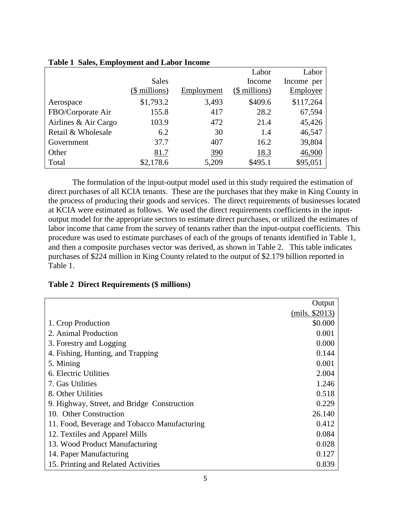|                      |               |            | Labor         | Labor      |
|----------------------|---------------|------------|---------------|------------|
|                      | <b>Sales</b>  |            | Income        | Income per |
|                      | (\$ millions) | Employment | (\$ millions) | Employee   |
| Aerospace            | \$1,793.2     | 3,493      | \$409.6       | \$117,264  |
| FBO/Corporate Air    | 155.8         | 417        | 28.2          | 67,594     |
| Airlines & Air Cargo | 103.9         | 472        | 21.4          | 45,426     |
| Retail & Wholesale   | 6.2           | 30         | 1.4           | 46,547     |
| Government           | 37.7          | 407        | 16.2          | 39,804     |
| Other                | 81.7          | 390        | 18.3          | 46,900     |
| Total                | \$2,178.6     | 5,209      | \$495.1       | \$95,051   |

# **Table 1 Sales, Employment and Labor Income**

The formulation of the input-output model used in this study required the estimation of direct purchases of all KCIA tenants. These are the purchases that they make in King County in the process of producing their goods and services. The direct requirements of businesses located at KCIA were estimated as follows. We used the direct requirements coefficients in the inputoutput model for the appropriate sectors to estimate direct purchases, or utilized the estimates of labor income that came from the survey of tenants rather than the input-output coefficients. This procedure was used to estimate purchases of each of the groups of tenants identified in Table 1, and then a composite purchases vector was derived, as shown in Table 2. This table indicates purchases of \$224 million in King County related to the output of \$2.179 billion reported in Table 1.

|  | <b>Table 2 Direct Requirements (\$ millions)</b> |  |  |
|--|--------------------------------------------------|--|--|
|--|--------------------------------------------------|--|--|

|                                              | Output         |
|----------------------------------------------|----------------|
|                                              | (mils. \$2013) |
| 1. Crop Production                           | \$0.000        |
| 2. Animal Production                         | 0.001          |
| 3. Forestry and Logging                      | 0.000          |
| 4. Fishing, Hunting, and Trapping            | 0.144          |
| 5. Mining                                    | 0.001          |
| 6. Electric Utilities                        | 2.004          |
| 7. Gas Utilities                             | 1.246          |
| 8. Other Utilities                           | 0.518          |
| 9. Highway, Street, and Bridge Construction  | 0.229          |
| 10. Other Construction                       | 26.140         |
| 11. Food, Beverage and Tobacco Manufacturing | 0.412          |
| 12. Textiles and Apparel Mills               | 0.084          |
| 13. Wood Product Manufacturing               | 0.028          |
| 14. Paper Manufacturing                      | 0.127          |
| 15. Printing and Related Activities          | 0.839          |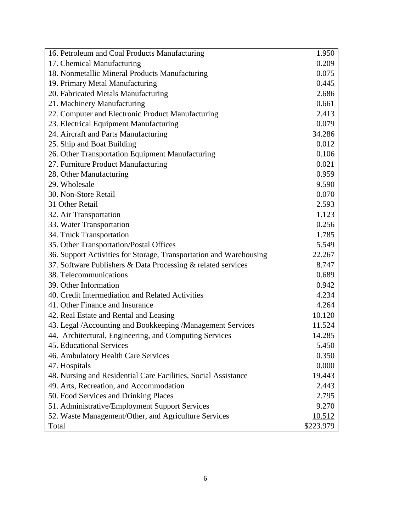| 16. Petroleum and Coal Products Manufacturing                      | 1.950         |
|--------------------------------------------------------------------|---------------|
| 17. Chemical Manufacturing                                         | 0.209         |
| 18. Nonmetallic Mineral Products Manufacturing                     | 0.075         |
| 19. Primary Metal Manufacturing                                    | 0.445         |
| 20. Fabricated Metals Manufacturing                                | 2.686         |
| 21. Machinery Manufacturing                                        | 0.661         |
| 22. Computer and Electronic Product Manufacturing                  | 2.413         |
| 23. Electrical Equipment Manufacturing                             | 0.079         |
| 24. Aircraft and Parts Manufacturing                               | 34.286        |
| 25. Ship and Boat Building                                         | 0.012         |
| 26. Other Transportation Equipment Manufacturing                   | 0.106         |
| 27. Furniture Product Manufacturing                                | 0.021         |
| 28. Other Manufacturing                                            | 0.959         |
| 29. Wholesale                                                      | 9.590         |
| 30. Non-Store Retail                                               | 0.070         |
| 31 Other Retail                                                    | 2.593         |
| 32. Air Transportation                                             | 1.123         |
| 33. Water Transportation                                           | 0.256         |
| 34. Truck Transportation                                           | 1.785         |
| 35. Other Transportation/Postal Offices                            | 5.549         |
| 36. Support Activities for Storage, Transportation and Warehousing | 22.267        |
| 37. Software Publishers & Data Processing & related services       | 8.747         |
| 38. Telecommunications                                             | 0.689         |
| 39. Other Information                                              | 0.942         |
| 40. Credit Intermediation and Related Activities                   | 4.234         |
| 41. Other Finance and Insurance                                    | 4.264         |
| 42. Real Estate and Rental and Leasing                             | 10.120        |
| 43. Legal /Accounting and Bookkeeping /Management Services         | 11.524        |
| 44. Architectural, Engineering, and Computing Services             | 14.285        |
| 45. Educational Services                                           | 5.450         |
| 46. Ambulatory Health Care Services                                | 0.350         |
| 47. Hospitals                                                      | 0.000         |
| 48. Nursing and Residential Care Facilities, Social Assistance     | 19.443        |
| 49. Arts, Recreation, and Accommodation                            | 2.443         |
| 50. Food Services and Drinking Places                              | 2.795         |
| 51. Administrative/Employment Support Services                     | 9.270         |
| 52. Waste Management/Other, and Agriculture Services               | <u>10.512</u> |
| Total                                                              | \$223.979     |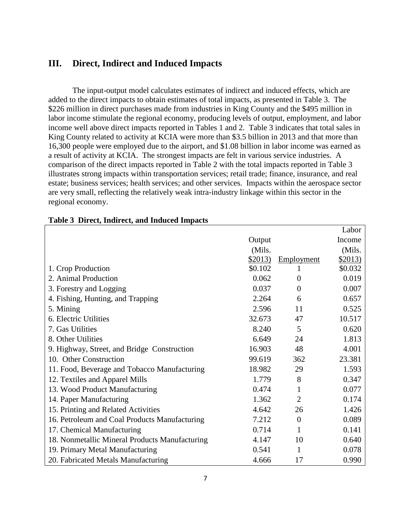# **III. Direct, Indirect and Induced Impacts**

The input-output model calculates estimates of indirect and induced effects, which are added to the direct impacts to obtain estimates of total impacts, as presented in Table 3. The \$226 million in direct purchases made from industries in King County and the \$495 million in labor income stimulate the regional economy, producing levels of output, employment, and labor income well above direct impacts reported in Tables 1 and 2. Table 3 indicates that total sales in King County related to activity at KCIA were more than \$3.5 billion in 2013 and that more than 16,300 people were employed due to the airport, and \$1.08 billion in labor income was earned as a result of activity at KCIA. The strongest impacts are felt in various service industries. A comparison of the direct impacts reported in Table 2 with the total impacts reported in Table 3 illustrates strong impacts within transportation services; retail trade; finance, insurance, and real estate; business services; health services; and other services. Impacts within the aerospace sector are very small, reflecting the relatively weak intra-industry linkage within this sector in the regional economy.

|                                                |         |                   | Labor   |
|------------------------------------------------|---------|-------------------|---------|
|                                                | Output  |                   | Income  |
|                                                | (Mils.  |                   | (Mils.  |
|                                                | \$2013) | <b>Employment</b> | \$2013) |
| 1. Crop Production                             | \$0.102 |                   | \$0.032 |
| 2. Animal Production                           | 0.062   | $\boldsymbol{0}$  | 0.019   |
| 3. Forestry and Logging                        | 0.037   | $\overline{0}$    | 0.007   |
| 4. Fishing, Hunting, and Trapping              | 2.264   | 6                 | 0.657   |
| 5. Mining                                      | 2.596   | 11                | 0.525   |
| 6. Electric Utilities                          | 32.673  | 47                | 10.517  |
| 7. Gas Utilities                               | 8.240   | 5                 | 0.620   |
| 8. Other Utilities                             | 6.649   | 24                | 1.813   |
| 9. Highway, Street, and Bridge Construction    | 16.903  | 48                | 4.001   |
| 10. Other Construction                         | 99.619  | 362               | 23.381  |
| 11. Food, Beverage and Tobacco Manufacturing   | 18.982  | 29                | 1.593   |
| 12. Textiles and Apparel Mills                 | 1.779   | 8                 | 0.347   |
| 13. Wood Product Manufacturing                 | 0.474   | $\mathbf{1}$      | 0.077   |
| 14. Paper Manufacturing                        | 1.362   | $\overline{2}$    | 0.174   |
| 15. Printing and Related Activities            | 4.642   | 26                | 1.426   |
| 16. Petroleum and Coal Products Manufacturing  | 7.212   | $\overline{0}$    | 0.089   |
| 17. Chemical Manufacturing                     | 0.714   | 1                 | 0.141   |
| 18. Nonmetallic Mineral Products Manufacturing | 4.147   | 10                | 0.640   |
| 19. Primary Metal Manufacturing                | 0.541   | $\mathbf{1}$      | 0.078   |
| 20. Fabricated Metals Manufacturing            | 4.666   | 17                | 0.990   |

#### **Table 3 Direct, Indirect, and Induced Impacts**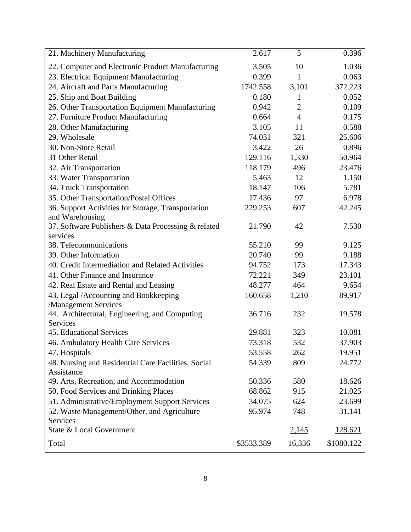| 21. Machinery Manufacturing                             | 2.617      | 5              | 0.396          |
|---------------------------------------------------------|------------|----------------|----------------|
| 22. Computer and Electronic Product Manufacturing       | 3.505      | 10             | 1.036          |
| 23. Electrical Equipment Manufacturing                  | 0.399      | 1              | 0.063          |
| 24. Aircraft and Parts Manufacturing                    | 1742.558   | 3,101          | 372.223        |
| 25. Ship and Boat Building                              | 0.180      | 1              | 0.052          |
| 26. Other Transportation Equipment Manufacturing        | 0.942      | $\overline{2}$ | 0.109          |
| 27. Furniture Product Manufacturing                     | 0.664      | $\overline{4}$ | 0.175          |
| 28. Other Manufacturing                                 | 3.105      | 11             | 0.588          |
| 29. Wholesale                                           | 74.031     | 321            | 25.606         |
| 30. Non-Store Retail                                    | 3.422      | 26             | 0.896          |
| 31 Other Retail                                         | 129.116    | 1,330          | 50.964         |
| 32. Air Transportation                                  | 118.179    | 496            | 23.476         |
| 33. Water Transportation                                | 5.463      | 12             | 1.150          |
| 34. Truck Transportation                                | 18.147     | 106            | 5.781          |
| 35. Other Transportation/Postal Offices                 | 17.436     | 97             | 6.978          |
| 36. Support Activities for Storage, Transportation      | 229.253    | 607            | 42.245         |
| and Warehousing                                         |            |                |                |
| 37. Software Publishers & Data Processing & related     | 21.790     | 42             | 7.530          |
| services                                                |            |                |                |
| 38. Telecommunications                                  | 55.210     | 99             | 9.125          |
| 39. Other Information                                   | 20.740     | 99             | 9.188          |
| 40. Credit Intermediation and Related Activities        | 94.752     | 173            | 17.343         |
| 41. Other Finance and Insurance                         | 72.221     | 349            | 23.101         |
| 42. Real Estate and Rental and Leasing                  | 48.277     | 464            | 9.654          |
| 43. Legal /Accounting and Bookkeeping                   | 160.658    | 1,210          | 89.917         |
| /Management Services                                    |            |                |                |
| 44. Architectural, Engineering, and Computing           | 36.716     | 232            | 19.578         |
| Services                                                |            |                |                |
| 45. Educational Services                                | 29.881     | 323            | 10.081         |
| 46. Ambulatory Health Care Services                     | 73.318     | 532            | 37.903         |
| 47. Hospitals                                           | 53.558     | 262            | 19.951         |
| 48. Nursing and Residential Care Facilities, Social     | 54.339     | 809            | 24.772         |
| Assistance                                              |            |                |                |
| 49. Arts, Recreation, and Accommodation                 | 50.336     | 580            | 18.626         |
| 50. Food Services and Drinking Places                   | 68.862     | 915            | 21.025         |
| 51. Administrative/Employment Support Services          | 34.075     | 624            | 23.699         |
| 52. Waste Management/Other, and Agriculture<br>Services | 95.974     | 748            | 31.141         |
| State & Local Government                                |            | <u>2,145</u>   | <u>128.621</u> |
| Total                                                   | \$3533.389 | 16,336         | \$1080.122     |
|                                                         |            |                |                |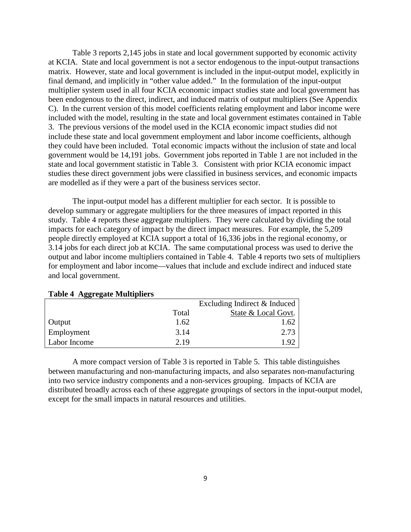Table 3 reports 2,145 jobs in state and local government supported by economic activity at KCIA. State and local government is not a sector endogenous to the input-output transactions matrix. However, state and local government is included in the input-output model, explicitly in final demand, and implicitly in "other value added." In the formulation of the input-output multiplier system used in all four KCIA economic impact studies state and local government has been endogenous to the direct, indirect, and induced matrix of output multipliers (See Appendix C). In the current version of this model coefficients relating employment and labor income were included with the model, resulting in the state and local government estimates contained in Table 3. The previous versions of the model used in the KCIA economic impact studies did not include these state and local government employment and labor income coefficients, although they could have been included. Total economic impacts without the inclusion of state and local government would be 14,191 jobs. Government jobs reported in Table 1 are not included in the state and local government statistic in Table 3. Consistent with prior KCIA economic impact studies these direct government jobs were classified in business services, and economic impacts are modelled as if they were a part of the business services sector.

The input-output model has a different multiplier for each sector. It is possible to develop summary or aggregate multipliers for the three measures of impact reported in this study. Table 4 reports these aggregate multipliers. They were calculated by dividing the total impacts for each category of impact by the direct impact measures. For example, the 5,209 people directly employed at KCIA support a total of 16,336 jobs in the regional economy, or 3.14 jobs for each direct job at KCIA. The same computational process was used to derive the output and labor income multipliers contained in Table 4. Table 4 reports two sets of multipliers for employment and labor income—values that include and exclude indirect and induced state and local government.

|              |       | Excluding Indirect & Induced |
|--------------|-------|------------------------------|
|              | Total | State & Local Govt.          |
| Output       | 1.62  | 1.62                         |
| Employment   | 3.14  | 2.73                         |
| Labor Income | 2.19  | 1.92                         |

# **Table 4 Aggregate Multipliers**

A more compact version of Table 3 is reported in Table 5. This table distinguishes between manufacturing and non-manufacturing impacts, and also separates non-manufacturing into two service industry components and a non-services grouping. Impacts of KCIA are distributed broadly across each of these aggregate groupings of sectors in the input-output model, except for the small impacts in natural resources and utilities.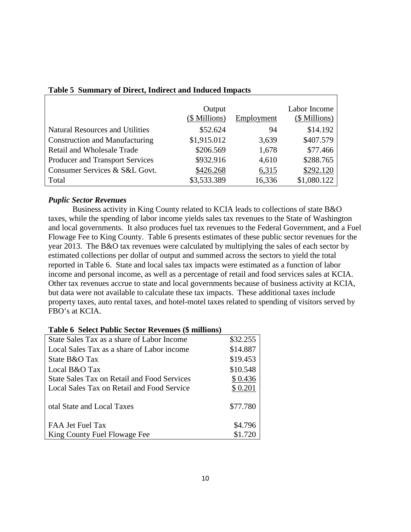|                                        | Output<br>(\$ Millions) | Employment | Labor Income<br>(\$ Millions) |
|----------------------------------------|-------------------------|------------|-------------------------------|
| <b>Natural Resources and Utilities</b> | \$52.624                | 94         | \$14.192                      |
| <b>Construction and Manufacturing</b>  | \$1,915.012             | 3,639      | \$407.579                     |
| Retail and Wholesale Trade             | \$206.569               | 1,678      | \$77.466                      |
| Producer and Transport Services        | \$932.916               | 4,610      | \$288.765                     |
| Consumer Services & S&L Govt.          | \$426.268               | 6,315      | \$292.120                     |
| Total                                  | \$3,533.389             | 16,336     | \$1,080.122                   |

# **Table 5 Summary of Direct, Indirect and Induced Impacts**

# *Puplic Sector Revenues*

Business activity in King County related to KCIA leads to collections of state B&O taxes, while the spending of labor income yields sales tax revenues to the State of Washington and local governments. It also produces fuel tax revenues to the Federal Government, and a Fuel Flowage Fee to King County. Table 6 presents estimates of these public sector revenues for the year 2013. The B&O tax revenues were calculated by multiplying the sales of each sector by estimated collections per dollar of output and summed across the sectors to yield the total reported in Table 6. State and local sales tax impacts were estimated as a function of labor income and personal income, as well as a percentage of retail and food services sales at KCIA. Other tax revenues accrue to state and local governments because of business activity at KCIA, but data were not available to calculate these tax impacts. These additional taxes include property taxes, auto rental taxes, and hotel-motel taxes related to spending of visitors served by FBO's at KCIA.

| Tuble of Delect I until Dector Technics (9 minibilis) |          |
|-------------------------------------------------------|----------|
| State Sales Tax as a share of Labor Income            | \$32.255 |
| Local Sales Tax as a share of Labor income            | \$14.887 |
| State B&O Tax                                         | \$19.453 |
| Local B&O Tax                                         | \$10.548 |
| State Sales Tax on Retail and Food Services           | \$0.436  |
| Local Sales Tax on Retail and Food Service            | \$0.201  |
| otal State and Local Taxes                            | \$77.780 |
| FAA Jet Fuel Tax                                      | \$4.796  |
| King County Fuel Flowage Fee                          | \$1.720  |

# **Table 6 Select Public Sector Revenues (\$ millions)**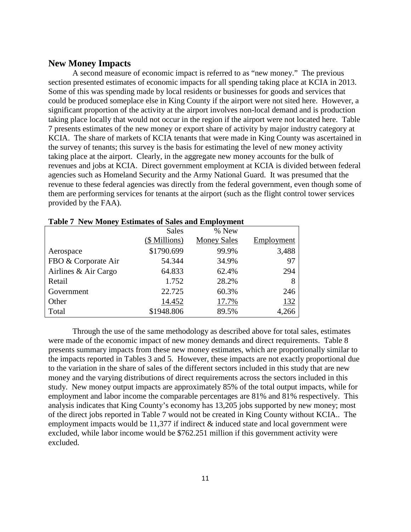# **New Money Impacts**

A second measure of economic impact is referred to as "new money." The previous section presented estimates of economic impacts for all spending taking place at KCIA in 2013. Some of this was spending made by local residents or businesses for goods and services that could be produced someplace else in King County if the airport were not sited here. However, a significant proportion of the activity at the airport involves non-local demand and is production taking place locally that would not occur in the region if the airport were not located here. Table 7 presents estimates of the new money or export share of activity by major industry category at KCIA. The share of markets of KCIA tenants that were made in King County was ascertained in the survey of tenants; this survey is the basis for estimating the level of new money activity taking place at the airport. Clearly, in the aggregate new money accounts for the bulk of revenues and jobs at KCIA. Direct government employment at KCIA is divided between federal agencies such as Homeland Security and the Army National Guard. It was presumed that the revenue to these federal agencies was directly from the federal government, even though some of them are performing services for tenants at the airport (such as the flight control tower services provided by the FAA).

| Tuble / Two brone, Estimates of Stress and Employment |                    |            |  |  |
|-------------------------------------------------------|--------------------|------------|--|--|
| <b>Sales</b>                                          | % New              |            |  |  |
| (\$ Millions)                                         | <b>Money Sales</b> | Employment |  |  |
| \$1790.699                                            | 99.9%              | 3,488      |  |  |
| FBO & Corporate Air<br>54.344                         | 34.9%              | 97         |  |  |
| Airlines & Air Cargo<br>64.833                        | 62.4%              | 294        |  |  |
| 1.752                                                 | 28.2%              | 8          |  |  |
| 22.725                                                | 60.3%              | 246        |  |  |
| 14.452                                                | 17.7%              | <u>132</u> |  |  |
| \$1948.806                                            | 89.5%              | 4,266      |  |  |
|                                                       |                    |            |  |  |

**Table 7 New Money Estimates of Sales and Employment**

Through the use of the same methodology as described above for total sales, estimates were made of the economic impact of new money demands and direct requirements. Table 8 presents summary impacts from these new money estimates, which are proportionally similar to the impacts reported in Tables 3 and 5. However, these impacts are not exactly proportional due to the variation in the share of sales of the different sectors included in this study that are new money and the varying distributions of direct requirements across the sectors included in this study. New money output impacts are approximately 85% of the total output impacts, while for employment and labor income the comparable percentages are 81% and 81% respectively. This analysis indicates that King County's economy has 13,205 jobs supported by new money; most of the direct jobs reported in Table 7 would not be created in King County without KCIA.. The employment impacts would be  $11,377$  if indirect  $&$  induced state and local government were excluded, while labor income would be \$762.251 million if this government activity were excluded.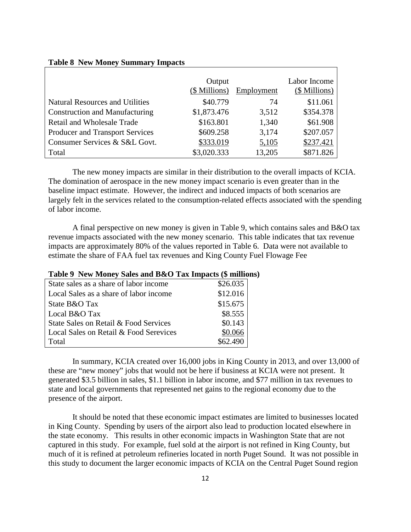|  |  |  | <b>Table 8 New Money Summary Impacts</b> |  |
|--|--|--|------------------------------------------|--|
|--|--|--|------------------------------------------|--|

|                                        | Output<br>(\$ Millions) | Employment | Labor Income<br>(\$ Millions) |
|----------------------------------------|-------------------------|------------|-------------------------------|
| <b>Natural Resources and Utilities</b> | \$40.779                | 74         | \$11.061                      |
| <b>Construction and Manufacturing</b>  | \$1,873.476             | 3,512      | \$354.378                     |
| Retail and Wholesale Trade             | \$163.801               | 1,340      | \$61.908                      |
| Producer and Transport Services        | \$609.258               | 3,174      | \$207.057                     |
| Consumer Services & S&L Govt.          | \$333.019               | 5,105      | \$237.421                     |
| Total                                  | \$3,020.333             | 13,205     | \$871.826                     |

The new money impacts are similar in their distribution to the overall impacts of KCIA. The domination of aerospace in the new money impact scenario is even greater than in the baseline impact estimate. However, the indirect and induced impacts of both scenarios are largely felt in the services related to the consumption-related effects associated with the spending of labor income.

A final perspective on new money is given in Table 9, which contains sales and B&O tax revenue impacts associated with the new money scenario. This table indicates that tax revenue impacts are approximately 80% of the values reported in Table 6. Data were not available to estimate the share of FAA fuel tax revenues and King County Fuel Flowage Fee

| $1000 \times 1000$ money burg and $DWQ$ and impute $\phi$ minimum |          |
|-------------------------------------------------------------------|----------|
| State sales as a share of labor income                            | \$26.035 |
| Local Sales as a share of labor income                            | \$12.016 |
| State B&O Tax                                                     | \$15.675 |
| Local B&O Tax                                                     | \$8.555  |
| State Sales on Retail & Food Services                             | \$0.143  |
| Local Sales on Retail & Food Serevices                            | \$0.066  |
| Total                                                             | \$62.490 |

|  | Table 9 New Money Sales and B&O Tax Impacts (\$ millions) |  |  |  |  |  |
|--|-----------------------------------------------------------|--|--|--|--|--|
|--|-----------------------------------------------------------|--|--|--|--|--|

In summary, KCIA created over 16,000 jobs in King County in 2013, and over 13,000 of these are "new money" jobs that would not be here if business at KCIA were not present. It generated \$3.5 billion in sales, \$1.1 billion in labor income, and \$77 million in tax revenues to state and local governments that represented net gains to the regional economy due to the presence of the airport.

It should be noted that these economic impact estimates are limited to businesses located in King County. Spending by users of the airport also lead to production located elsewhere in the state economy. This results in other economic impacts in Washington State that are not captured in this study. For example, fuel sold at the airport is not refined in King County, but much of it is refined at petroleum refineries located in north Puget Sound. It was not possible in this study to document the larger economic impacts of KCIA on the Central Puget Sound region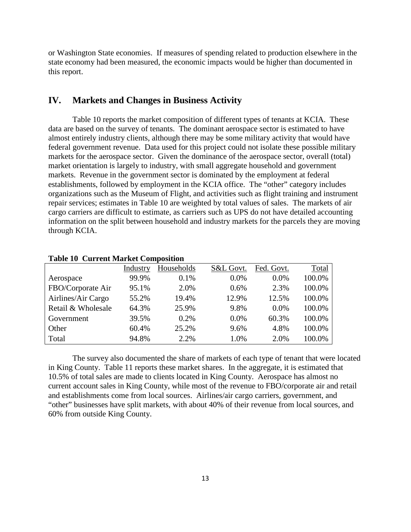or Washington State economies. If measures of spending related to production elsewhere in the state economy had been measured, the economic impacts would be higher than documented in this report.

# **IV. Markets and Changes in Business Activity**

Table 10 reports the market composition of different types of tenants at KCIA. These data are based on the survey of tenants. The dominant aerospace sector is estimated to have almost entirely industry clients, although there may be some military activity that would have federal government revenue. Data used for this project could not isolate these possible military markets for the aerospace sector. Given the dominance of the aerospace sector, overall (total) market orientation is largely to industry, with small aggregate household and government markets. Revenue in the government sector is dominated by the employment at federal establishments, followed by employment in the KCIA office. The "other" category includes organizations such as the Museum of Flight, and activities such as flight training and instrument repair services; estimates in Table 10 are weighted by total values of sales. The markets of air cargo carriers are difficult to estimate, as carriers such as UPS do not have detailed accounting information on the split between household and industry markets for the parcels they are moving through KCIA.

|                    | Industry | Households | S&L Govt. | Fed. Govt. | Total  |
|--------------------|----------|------------|-----------|------------|--------|
| Aerospace          | 99.9%    | 0.1%       | 0.0%      | 0.0%       | 100.0% |
| FBO/Corporate Air  | 95.1%    | 2.0%       | 0.6%      | 2.3%       | 100.0% |
| Airlines/Air Cargo | 55.2%    | 19.4%      | 12.9%     | 12.5%      | 100.0% |
| Retail & Wholesale | 64.3%    | 25.9%      | 9.8%      | $0.0\%$    | 100.0% |
| Government         | 39.5%    | 0.2%       | $0.0\%$   | 60.3%      | 100.0% |
| Other              | 60.4%    | 25.2%      | 9.6%      | 4.8%       | 100.0% |
| Total              | 94.8%    | 2.2%       | 1.0%      | 2.0%       | 100.0% |

#### **Table 10 Current Market Composition**

The survey also documented the share of markets of each type of tenant that were located in King County. Table 11 reports these market shares. In the aggregate, it is estimated that 10.5% of total sales are made to clients located in King County. Aerospace has almost no current account sales in King County, while most of the revenue to FBO/corporate air and retail and establishments come from local sources. Airlines/air cargo carriers, government, and "other" businesses have split markets, with about 40% of their revenue from local sources, and 60% from outside King County.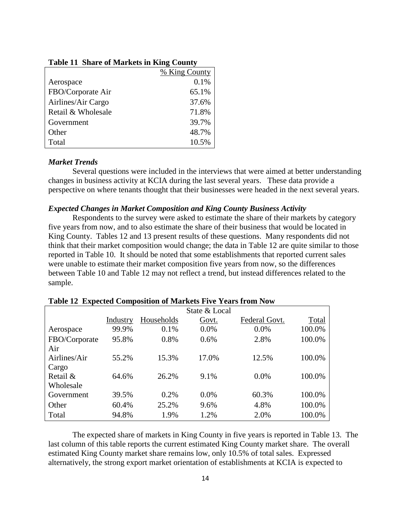|                    | % King County |
|--------------------|---------------|
| Aerospace          | 0.1%          |
| FBO/Corporate Air  | 65.1%         |
| Airlines/Air Cargo | 37.6%         |
| Retail & Wholesale | 71.8%         |
| Government         | 39.7%         |
| Other              | 48.7%         |
| Total              | 10.5%         |

#### **Table 11 Share of Markets in King County**

#### *Market Trends*

Several questions were included in the interviews that were aimed at better understanding changes in business activity at KCIA during the last several years. These data provide a perspective on where tenants thought that their businesses were headed in the next several years.

#### *Expected Changes in Market Composition and King County Business Activity*

Respondents to the survey were asked to estimate the share of their markets by category five years from now, and to also estimate the share of their business that would be located in King County. Tables 12 and 13 present results of these questions. Many respondents did not think that their market composition would change; the data in Table 12 are quite similar to those reported in Table 10. It should be noted that some establishments that reported current sales were unable to estimate their market composition five years from now, so the differences between Table 10 and Table 12 may not reflect a trend, but instead differences related to the sample.

|               |          | State & Local |         |               |        |
|---------------|----------|---------------|---------|---------------|--------|
|               | Industry | Households    | Govt.   | Federal Govt. | Total  |
| Aerospace     | 99.9%    | 0.1%          | $0.0\%$ | $0.0\%$       | 100.0% |
| FBO/Corporate | 95.8%    | 0.8%          | 0.6%    | 2.8%          | 100.0% |
| Air           |          |               |         |               |        |
| Airlines/Air  | 55.2%    | 15.3%         | 17.0%   | 12.5%         | 100.0% |
| Cargo         |          |               |         |               |        |
| Retail &      | 64.6%    | 26.2%         | 9.1%    | 0.0%          | 100.0% |
| Wholesale     |          |               |         |               |        |
| Government    | 39.5%    | 0.2%          | $0.0\%$ | 60.3%         | 100.0% |
| Other         | 60.4%    | 25.2%         | 9.6%    | 4.8%          | 100.0% |
| Total         | 94.8%    | 1.9%          | 1.2%    | 2.0%          | 100.0% |

#### **Table 12 Expected Composition of Markets Five Years from Now**

The expected share of markets in King County in five years is reported in Table 13. The last column of this table reports the current estimated King County market share. The overall estimated King County market share remains low, only 10.5% of total sales. Expressed alternatively, the strong export market orientation of establishments at KCIA is expected to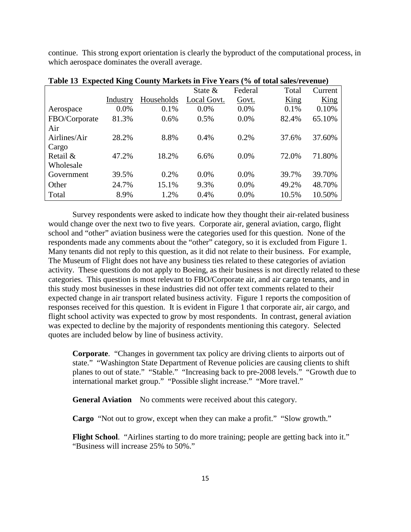continue. This strong export orientation is clearly the byproduct of the computational process, in which aerospace dominates the overall average.

|               |          |            | State $\&$  | Federal | Total | Current     |
|---------------|----------|------------|-------------|---------|-------|-------------|
|               | Industry | Households | Local Govt. | Govt.   | King  | <b>King</b> |
| Aerospace     | 0.0%     | 0.1%       | 0.0%        | $0.0\%$ | 0.1%  | 0.10%       |
| FBO/Corporate | 81.3%    | 0.6%       | 0.5%        | 0.0%    | 82.4% | 65.10%      |
| Air           |          |            |             |         |       |             |
| Airlines/Air  | 28.2%    | 8.8%       | 0.4%        | 0.2%    | 37.6% | 37.60%      |
| Cargo         |          |            |             |         |       |             |
| Retail &      | 47.2%    | 18.2%      | 6.6%        | 0.0%    | 72.0% | 71.80%      |
| Wholesale     |          |            |             |         |       |             |
| Government    | 39.5%    | 0.2%       | 0.0%        | 0.0%    | 39.7% | 39.70%      |
| Other         | 24.7%    | 15.1%      | 9.3%        | 0.0%    | 49.2% | 48.70%      |
| Total         | 8.9%     | 1.2%       | 0.4%        | 0.0%    | 10.5% | 10.50%      |

**Table 13 Expected King County Markets in Five Years (% of total sales/revenue)**

Survey respondents were asked to indicate how they thought their air-related business would change over the next two to five years. Corporate air, general aviation, cargo, flight school and "other" aviation business were the categories used for this question. None of the respondents made any comments about the "other" category, so it is excluded from Figure 1. Many tenants did not reply to this question, as it did not relate to their business. For example, The Museum of Flight does not have any business ties related to these categories of aviation activity. These questions do not apply to Boeing, as their business is not directly related to these categories. This question is most relevant to FBO/Corporate air, and air cargo tenants, and in this study most businesses in these industries did not offer text comments related to their expected change in air transport related business activity. Figure 1 reports the composition of responses received for this question. It is evident in Figure 1 that corporate air, air cargo, and flight school activity was expected to grow by most respondents. In contrast, general aviation was expected to decline by the majority of respondents mentioning this category. Selected quotes are included below by line of business activity.

**Corporate**. "Changes in government tax policy are driving clients to airports out of state." "Washington State Department of Revenue policies are causing clients to shift planes to out of state." "Stable." "Increasing back to pre-2008 levels." "Growth due to international market group." "Possible slight increase." "More travel."

**General Aviation** No comments were received about this category.

**Cargo** "Not out to grow, except when they can make a profit." "Slow growth."

**Flight School**. "Airlines starting to do more training; people are getting back into it." "Business will increase 25% to 50%."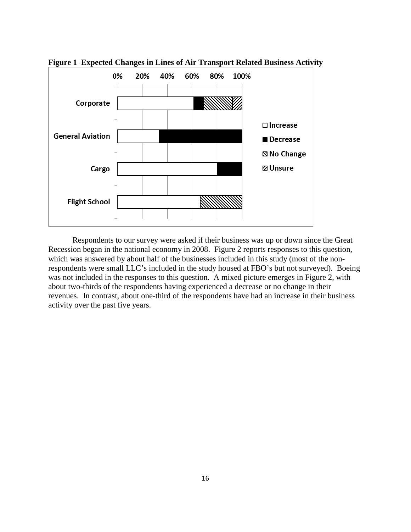

**Figure 1 Expected Changes in Lines of Air Transport Related Business Activity**

Respondents to our survey were asked if their business was up or down since the Great Recession began in the national economy in 2008. Figure 2 reports responses to this question, which was answered by about half of the businesses included in this study (most of the nonrespondents were small LLC's included in the study housed at FBO's but not surveyed). Boeing was not included in the responses to this question. A mixed picture emerges in Figure 2, with about two-thirds of the respondents having experienced a decrease or no change in their revenues. In contrast, about one-third of the respondents have had an increase in their business activity over the past five years.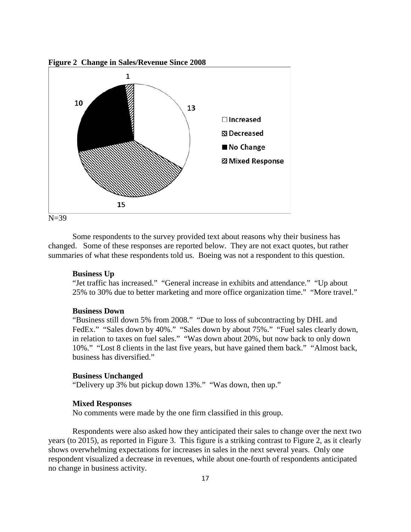**Figure 2 Change in Sales/Revenue Since 2008**



 $N=39$ 

Some respondents to the survey provided text about reasons why their business has changed. Some of these responses are reported below. They are not exact quotes, but rather summaries of what these respondents told us. Boeing was not a respondent to this question.

#### **Business Up**

"Jet traffic has increased." "General increase in exhibits and attendance." "Up about 25% to 30% due to better marketing and more office organization time." "More travel."

#### **Business Down**

"Business still down 5% from 2008." "Due to loss of subcontracting by DHL and FedEx." "Sales down by 40%." "Sales down by about 75%." "Fuel sales clearly down, in relation to taxes on fuel sales." "Was down about 20%, but now back to only down 10%." "Lost 8 clients in the last five years, but have gained them back." "Almost back, business has diversified."

#### **Business Unchanged**

"Delivery up 3% but pickup down 13%." "Was down, then up."

#### **Mixed Responses**

No comments were made by the one firm classified in this group.

Respondents were also asked how they anticipated their sales to change over the next two years (to 2015), as reported in Figure 3. This figure is a striking contrast to Figure 2, as it clearly shows overwhelming expectations for increases in sales in the next several years. Only one respondent visualized a decrease in revenues, while about one-fourth of respondents anticipated no change in business activity.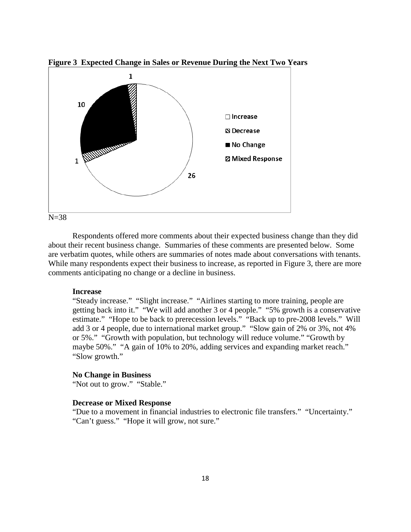

**Figure 3 Expected Change in Sales or Revenue During the Next Two Years**

Respondents offered more comments about their expected business change than they did about their recent business change. Summaries of these comments are presented below. Some are verbatim quotes, while others are summaries of notes made about conversations with tenants. While many respondents expect their business to increase, as reported in Figure 3, there are more comments anticipating no change or a decline in business.

# **Increase**

"Steady increase." "Slight increase." "Airlines starting to more training, people are getting back into it." "We will add another 3 or 4 people." "5% growth is a conservative estimate." "Hope to be back to prerecession levels." "Back up to pre-2008 levels." Will add 3 or 4 people, due to international market group." "Slow gain of 2% or 3%, not 4% or 5%." "Growth with population, but technology will reduce volume." "Growth by maybe 50%." "A gain of 10% to 20%, adding services and expanding market reach." "Slow growth."

#### **No Change in Business**

"Not out to grow." "Stable."

#### **Decrease or Mixed Response**

"Due to a movement in financial industries to electronic file transfers." "Uncertainty." "Can't guess." "Hope it will grow, not sure."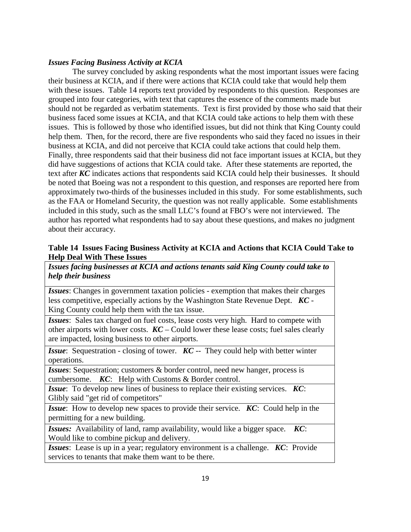# *Issues Facing Business Activity at KCIA*

The survey concluded by asking respondents what the most important issues were facing their business at KCIA, and if there were actions that KCIA could take that would help them with these issues. Table 14 reports text provided by respondents to this question. Responses are grouped into four categories, with text that captures the essence of the comments made but should not be regarded as verbatim statements. Text is first provided by those who said that their business faced some issues at KCIA, and that KCIA could take actions to help them with these issues. This is followed by those who identified issues, but did not think that King County could help them. Then, for the record, there are five respondents who said they faced no issues in their business at KCIA, and did not perceive that KCIA could take actions that could help them. Finally, three respondents said that their business did not face important issues at KCIA, but they did have suggestions of actions that KCIA could take. After these statements are reported, the text after *KC* indicates actions that respondents said KCIA could help their businesses. It should be noted that Boeing was not a respondent to this question, and responses are reported here from approximately two-thirds of the businesses included in this study. For some establishments, such as the FAA or Homeland Security, the question was not really applicable. Some establishments included in this study, such as the small LLC's found at FBO's were not interviewed. The author has reported what respondents had to say about these questions, and makes no judgment about their accuracy.

# **Table 14 Issues Facing Business Activity at KCIA and Actions that KCIA Could Take to Help Deal With These Issues**

*Issues facing businesses at KCIA and actions tenants said King County could take to help their business* 

*Issues*: Changes in government taxation policies - exemption that makes their charges less competitive, especially actions by the Washington State Revenue Dept. *KC* - King County could help them with the tax issue.

*Issues*: Sales tax charged on fuel costs, lease costs very high. Hard to compete with other airports with lower costs. *KC* – Could lower these lease costs; fuel sales clearly are impacted, losing business to other airports.

*Issue*: Sequestration - closing of tower. *KC* -- They could help with better winter operations.

*Issues*: Sequestration; customers & border control, need new hanger, process is cumbersome. *KC*: Help with Customs & Border control.

*Issue*: To develop new lines of business to replace their existing services. *KC*: Glibly said "get rid of competitors"

*Issue*: How to develop new spaces to provide their service. *KC*: Could help in the permitting for a new building.

*Issues:* Availability of land, ramp availability, would like a bigger space. *KC*: Would like to combine pickup and delivery.

*Issues*: Lease is up in a year; regulatory environment is a challenge. *KC*: Provide services to tenants that make them want to be there.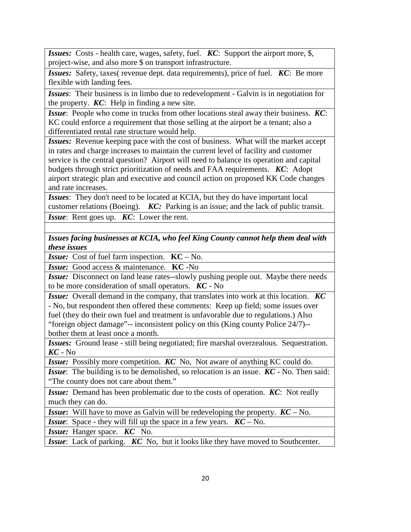*Issues:* Costs - health care, wages, safety, fuel. *KC*: Support the airport more, \$, project-wise, and also more \$ on transport infrastructure.

*Issues:* Safety, taxes( revenue dept. data requirements), price of fuel. *KC*: Be more flexible with landing fees.

*Issues*: Their business is in limbo due to redevelopment - Galvin is in negotiation for the property. *KC*: Help in finding a new site.

*Issue*: People who come in trucks from other locations steal away their business. *KC*: KC could enforce a requirement that those selling at the airport be a tenant; also a differentiated rental rate structure would help.

*Issues:* Revenue keeping pace with the cost of business. What will the market accept in rates and charge increases to maintain the current level of facility and customer service is the central question? Airport will need to balance its operation and capital budgets through strict prioritization of needs and FAA requirements. *KC*: Adopt airport strategic plan and executive and council action on proposed KK Code changes and rate increases.

*Issues*: They don't need to be located at KCIA, but they do have important local customer relations (Boeing). *KC:* Parking is an issue; and the lack of public transit.

*Issue*: Rent goes up. *KC*: Lower the rent.

*Issues facing businesses at KCIA, who feel King County cannot help them deal with these issues*

*Issue:* Cost of fuel farm inspection. **KC** – No.

*Issue:* Good access & maintenance. **KC** -No

*Issue:* Disconnect on land lease rates--slowly pushing people out. Maybe there needs to be more consideration of small operators. *KC* - No

*Issue:* Overall demand in the company, that translates into work at this location. *KC*  - No, but respondent then offered these comments: Keep up field; some issues over fuel (they do their own fuel and treatment is unfavorable due to regulations.) Also "foreign object damage"-- inconsistent policy on this (King county Police 24/7)- bother them at least once a month.

*Issues:* Ground lease - still being negotiated; fire marshal overzealous. Sequestration. *KC* - No

*Issue:* Possibly more competition. *KC* No, Not aware of anything KC could do. *Issue*: The building is to be demolished, so relocation is an issue. *KC* - No. Then said:

"The county does not care about them."

*Issue:* Demand has been problematic due to the costs of operation. *KC*: Not really much they can do.

*Issue*: Will have to move as Galvin will be redeveloping the property.  $KC - No$ .

*Issue*: Space - they will fill up the space in a few years.  $KC - No$ .

*Issue:* Hanger space. *KC* No.

*Issue*: Lack of parking. *KC* No, but it looks like they have moved to Southcenter.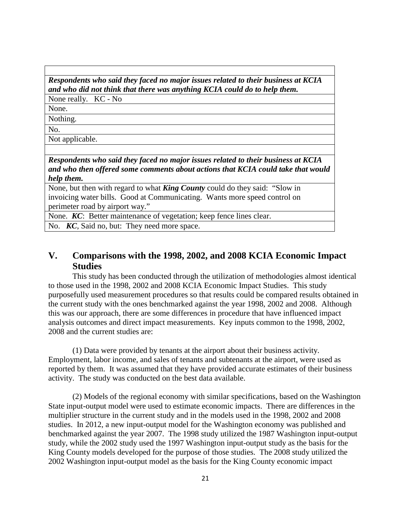*Respondents who said they faced no major issues related to their business at KCIA and who did not think that there was anything KCIA could do to help them.* None really. KC - No

None.

Nothing. No.

Not applicable.

*Respondents who said they faced no major issues related to their business at KCIA and who then offered some comments about actions that KCIA could take that would help them.*

None, but then with regard to what *King County* could do they said: "Slow in invoicing water bills. Good at Communicating. Wants more speed control on perimeter road by airport way."

None. *KC*: Better maintenance of vegetation; keep fence lines clear.

No. **KC**, Said no, but: They need more space.

# **V. Comparisons with the 1998, 2002, and 2008 KCIA Economic Impact Studies**

This study has been conducted through the utilization of methodologies almost identical to those used in the 1998, 2002 and 2008 KCIA Economic Impact Studies. This study purposefully used measurement procedures so that results could be compared results obtained in the current study with the ones benchmarked against the year 1998, 2002 and 2008. Although this was our approach, there are some differences in procedure that have influenced impact analysis outcomes and direct impact measurements. Key inputs common to the 1998, 2002, 2008 and the current studies are:

(1) Data were provided by tenants at the airport about their business activity. Employment, labor income, and sales of tenants and subtenants at the airport, were used as reported by them. It was assumed that they have provided accurate estimates of their business activity. The study was conducted on the best data available.

(2) Models of the regional economy with similar specifications, based on the Washington State input-output model were used to estimate economic impacts. There are differences in the multiplier structure in the current study and in the models used in the 1998, 2002 and 2008 studies. In 2012, a new input-output model for the Washington economy was published and benchmarked against the year 2007. The 1998 study utilized the 1987 Washington input-output study, while the 2002 study used the 1997 Washington input-output study as the basis for the King County models developed for the purpose of those studies. The 2008 study utilized the 2002 Washington input-output model as the basis for the King County economic impact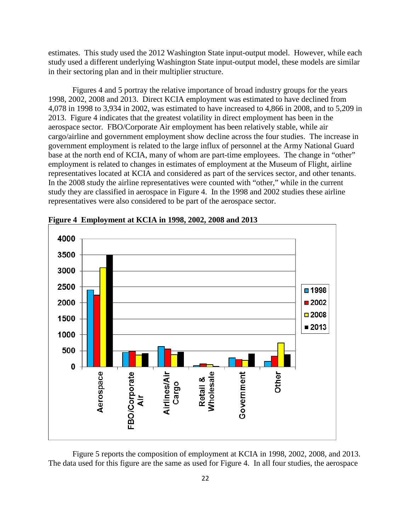estimates. This study used the 2012 Washington State input-output model. However, while each study used a different underlying Washington State input-output model, these models are similar in their sectoring plan and in their multiplier structure.

Figures 4 and 5 portray the relative importance of broad industry groups for the years 1998, 2002, 2008 and 2013. Direct KCIA employment was estimated to have declined from 4,078 in 1998 to 3,934 in 2002, was estimated to have increased to 4,866 in 2008, and to 5,209 in 2013. Figure 4 indicates that the greatest volatility in direct employment has been in the aerospace sector. FBO/Corporate Air employment has been relatively stable, while air cargo/airline and government employment show decline across the four studies. The increase in government employment is related to the large influx of personnel at the Army National Guard base at the north end of KCIA, many of whom are part-time employees. The change in "other" employment is related to changes in estimates of employment at the Museum of Flight, airline representatives located at KCIA and considered as part of the services sector, and other tenants. In the 2008 study the airline representatives were counted with "other," while in the current study they are classified in aerospace in Figure 4. In the 1998 and 2002 studies these airline representatives were also considered to be part of the aerospace sector.



**Figure 4 Employment at KCIA in 1998, 2002, 2008 and 2013**

Figure 5 reports the composition of employment at KCIA in 1998, 2002, 2008, and 2013. The data used for this figure are the same as used for Figure 4. In all four studies, the aerospace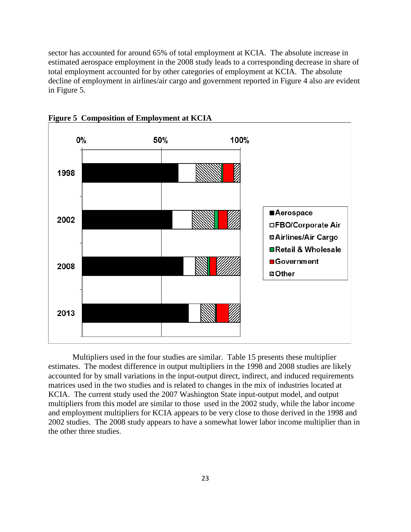sector has accounted for around 65% of total employment at KCIA. The absolute increase in estimated aerospace employment in the 2008 study leads to a corresponding decrease in share of total employment accounted for by other categories of employment at KCIA. The absolute decline of employment in airlines/air cargo and government reported in Figure 4 also are evident in Figure 5.





Multipliers used in the four studies are similar. Table 15 presents these multiplier estimates. The modest difference in output multipliers in the 1998 and 2008 studies are likely accounted for by small variations in the input-output direct, indirect, and induced requirements matrices used in the two studies and is related to changes in the mix of industries located at KCIA. The current study used the 2007 Washington State input-output model, and output multipliers from this model are similar to those used in the 2002 study, while the labor income and employment multipliers for KCIA appears to be very close to those derived in the 1998 and 2002 studies. The 2008 study appears to have a somewhat lower labor income multiplier than in the other three studies.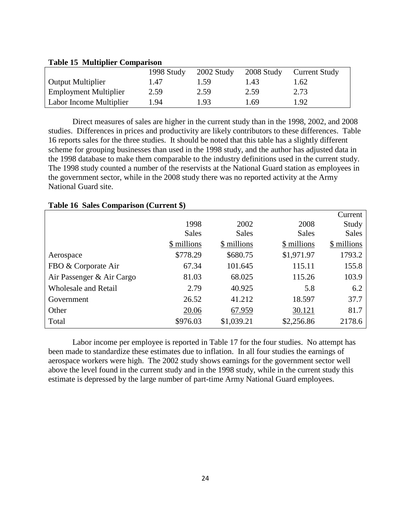|                              | 1998 Study | 2002 Study | 2008 Study | <b>Current Study</b> |
|------------------------------|------------|------------|------------|----------------------|
| <b>Output Multiplier</b>     | 1.47       | 1.59       | 1.43       | 1.62                 |
| <b>Employment Multiplier</b> | 2.59       | 2.59       | 2.59       | 2.73                 |
| Labor Income Multiplier      | 1.94       | 1.93       | 1.69       | 1.92                 |

# **Table 15 Multiplier Comparison**

Direct measures of sales are higher in the current study than in the 1998, 2002, and 2008 studies. Differences in prices and productivity are likely contributors to these differences. Table 16 reports sales for the three studies. It should be noted that this table has a slightly different scheme for grouping businesses than used in the 1998 study, and the author has adjusted data in the 1998 database to make them comparable to the industry definitions used in the current study. The 1998 study counted a number of the reservists at the National Guard station as employees in the government sector, while in the 2008 study there was no reported activity at the Army National Guard site.

|                             |              |              |              | Current      |
|-----------------------------|--------------|--------------|--------------|--------------|
|                             | 1998         | 2002         | 2008         | Study        |
|                             | <b>Sales</b> | <b>Sales</b> | <b>Sales</b> | <b>Sales</b> |
|                             | \$ millions  | \$ millions  | \$ millions  | \$ millions  |
| Aerospace                   | \$778.29     | \$680.75     | \$1,971.97   | 1793.2       |
| FBO & Corporate Air         | 67.34        | 101.645      | 115.11       | 155.8        |
| Air Passenger & Air Cargo   | 81.03        | 68.025       | 115.26       | 103.9        |
| <b>Wholesale and Retail</b> | 2.79         | 40.925       | 5.8          | 6.2          |
| Government                  | 26.52        | 41.212       | 18.597       | 37.7         |
| Other                       | 20.06        | 67.959       | 30.121       | 81.7         |
| Total                       | \$976.03     | \$1,039.21   | \$2,256.86   | 2178.6       |

#### **Table 16 Sales Comparison (Current \$)**

Labor income per employee is reported in Table 17 for the four studies. No attempt has been made to standardize these estimates due to inflation. In all four studies the earnings of aerospace workers were high. The 2002 study shows earnings for the government sector well above the level found in the current study and in the 1998 study, while in the current study this estimate is depressed by the large number of part-time Army National Guard employees.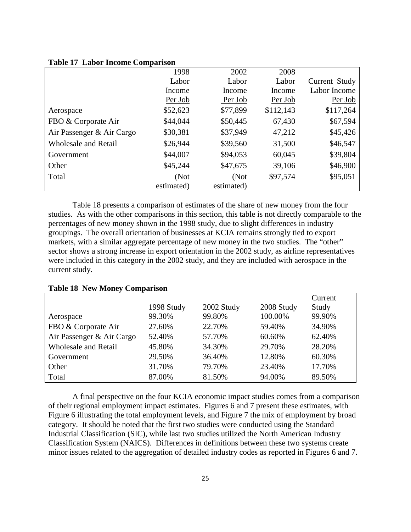|                             | 1998               | 2002               | 2008      |               |
|-----------------------------|--------------------|--------------------|-----------|---------------|
|                             | Labor              | Labor              | Labor     | Current Study |
|                             | Income             | Income             | Income    | Labor Income  |
|                             | Per Job            | Per Job            | Per Job   | Per Job       |
| Aerospace                   | \$52,623           | \$77,899           | \$112,143 | \$117,264     |
| FBO & Corporate Air         | \$44,044           | \$50,445           | 67,430    | \$67,594      |
| Air Passenger & Air Cargo   | \$30,381           | \$37,949           | 47,212    | \$45,426      |
| <b>Wholesale and Retail</b> | \$26,944           | \$39,560           | 31,500    | \$46,547      |
| Government                  | \$44,007           | \$94,053           | 60,045    | \$39,804      |
| Other                       | \$45,244           | \$47,675           | 39,106    | \$46,900      |
| Total                       | (Not<br>estimated) | (Not<br>estimated) | \$97,574  | \$95,051      |

#### **Table 17 Labor Income Comparison**

Table 18 presents a comparison of estimates of the share of new money from the four studies. As with the other comparisons in this section, this table is not directly comparable to the percentages of new money shown in the 1998 study, due to slight differences in industry groupings. The overall orientation of businesses at KCIA remains strongly tied to export markets, with a similar aggregate percentage of new money in the two studies. The "other" sector shows a strong increase in export orientation in the 2002 study, as airline representatives were included in this category in the 2002 study, and they are included with aerospace in the current study.

|                             |            |            |            | Current      |
|-----------------------------|------------|------------|------------|--------------|
|                             | 1998 Study | 2002 Study | 2008 Study | <b>Study</b> |
| Aerospace                   | 99.30%     | 99.80%     | 100.00%    | 99.90%       |
| FBO & Corporate Air         | 27.60%     | 22.70%     | 59.40%     | 34.90%       |
| Air Passenger & Air Cargo   | 52.40%     | 57.70%     | 60.60%     | 62.40%       |
| <b>Wholesale and Retail</b> | 45.80%     | 34.30%     | 29.70%     | 28.20%       |
| Government                  | 29.50%     | 36.40%     | 12.80%     | 60.30%       |
| Other                       | 31.70%     | 79.70%     | 23.40%     | 17.70%       |
| Total                       | 87.00%     | 81.50%     | 94.00%     | 89.50%       |

#### **Table 18 New Money Comparison**

A final perspective on the four KCIA economic impact studies comes from a comparison of their regional employment impact estimates. Figures 6 and 7 present these estimates, with Figure 6 illustrating the total employment levels, and Figure 7 the mix of employment by broad category. It should be noted that the first two studies were conducted using the Standard Industrial Classification (SIC), while last two studies utilized the North American Industry Classification System (NAICS). Differences in definitions between these two systems create minor issues related to the aggregation of detailed industry codes as reported in Figures 6 and 7.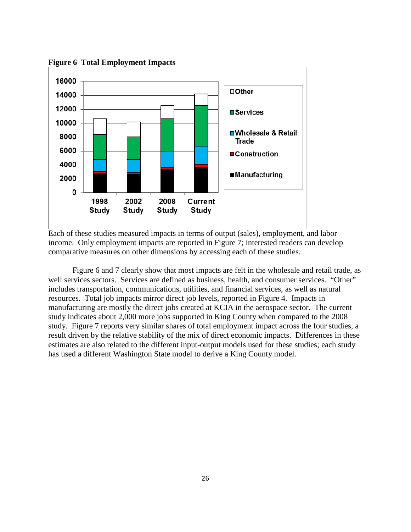

**Figure 6 Total Employment Impacts**

Each of these studies measured impacts in terms of output (sales), employment, and labor income. Only employment impacts are reported in Figure 7; interested readers can develop comparative measures on other dimensions by accessing each of these studies.

Figure 6 and 7 clearly show that most impacts are felt in the wholesale and retail trade, as well services sectors. Services are defined as business, health, and consumer services. "Other" includes transportation, communications, utilities, and financial services, as well as natural resources. Total job impacts mirror direct job levels, reported in Figure 4. Impacts in manufacturing are mostly the direct jobs created at KCIA in the aerospace sector. The current study indicates about 2,000 more jobs supported in King County when compared to the 2008 study. Figure 7 reports very similar shares of total employment impact across the four studies, a result driven by the relative stability of the mix of direct economic impacts. Differences in these estimates are also related to the different input-output models used for these studies; each study has used a different Washington State model to derive a King County model.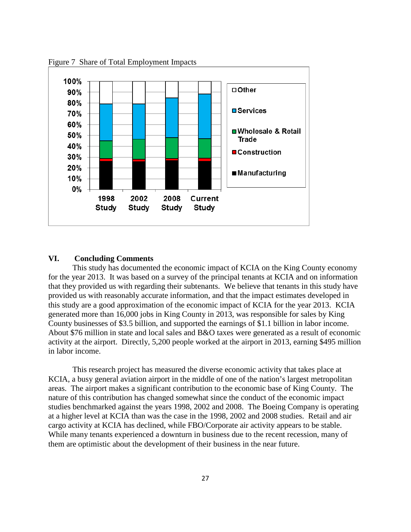

Figure 7 Share of Total Employment Impacts

# **VI. Concluding Comments**

This study has documented the economic impact of KCIA on the King County economy for the year 2013. It was based on a survey of the principal tenants at KCIA and on information that they provided us with regarding their subtenants. We believe that tenants in this study have provided us with reasonably accurate information, and that the impact estimates developed in this study are a good approximation of the economic impact of KCIA for the year 2013. KCIA generated more than 16,000 jobs in King County in 2013, was responsible for sales by King County businesses of \$3.5 billion, and supported the earnings of \$1.1 billion in labor income. About \$76 million in state and local sales and B&O taxes were generated as a result of economic activity at the airport. Directly, 5,200 people worked at the airport in 2013, earning \$495 million in labor income.

This research project has measured the diverse economic activity that takes place at KCIA, a busy general aviation airport in the middle of one of the nation's largest metropolitan areas. The airport makes a significant contribution to the economic base of King County. The nature of this contribution has changed somewhat since the conduct of the economic impact studies benchmarked against the years 1998, 2002 and 2008. The Boeing Company is operating at a higher level at KCIA than was the case in the 1998, 2002 and 2008 studies. Retail and air cargo activity at KCIA has declined, while FBO/Corporate air activity appears to be stable. While many tenants experienced a downturn in business due to the recent recession, many of them are optimistic about the development of their business in the near future.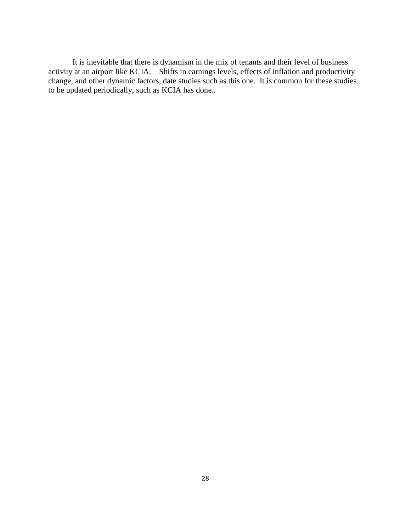It is inevitable that there is dynamism in the mix of tenants and their level of business activity at an airport like KCIA. Shifts in earnings levels, effects of inflation and productivity change, and other dynamic factors, date studies such as this one. It is common for these studies to be updated periodically, such as KCIA has done..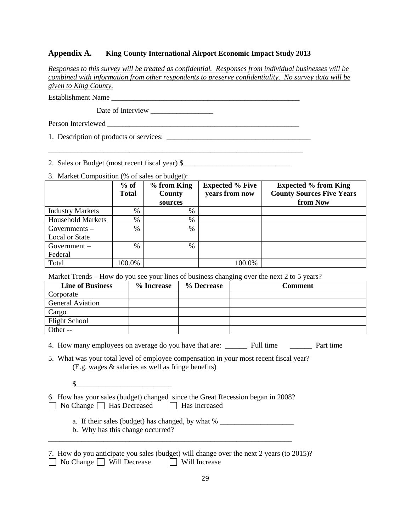#### **Appendix A. King County International Airport Economic Impact Study 2013**

\_\_\_\_\_\_\_\_\_\_\_\_\_\_\_\_\_\_\_\_\_\_\_\_\_\_\_\_\_\_\_\_\_\_\_\_\_\_\_\_\_\_\_\_\_\_\_\_\_\_\_\_\_\_\_\_\_\_\_\_\_\_\_\_\_\_\_\_\_

*Responses to this survey will be treated as confidential. Responses from individual businesses will be combined with information from other respondents to preserve confidentiality. No survey data will be given to King County.*

Establishment Name

Date of Interview \_\_\_\_\_\_\_\_\_\_\_\_\_\_\_\_\_

Person Interviewed

1. Description of products or services:

2. Sales or Budget (most recent fiscal year)  $\frac{1}{2}$ 

3. Market Composition (% of sales or budget):

|                          | $%$ of       | % from King   | <b>Expected % Five</b> | <b>Expected % from King</b>      |
|--------------------------|--------------|---------------|------------------------|----------------------------------|
|                          | <b>Total</b> | County        | years from now         | <b>County Sources Five Years</b> |
|                          |              | sources       |                        | from Now                         |
| <b>Industry Markets</b>  | $\%$         | $\%$          |                        |                                  |
| <b>Household Markets</b> | %            | $\%$          |                        |                                  |
| $Governments -$          | $\%$         | $\frac{0}{0}$ |                        |                                  |
| Local or State           |              |               |                        |                                  |
| Government $-$           | $\%$         | $\%$          |                        |                                  |
| Federal                  |              |               |                        |                                  |
| Total                    | 100.0%       |               | 100.0%                 |                                  |

Market Trends – How do you see your lines of business changing over the next 2 to 5 years?

| <b>Line of Business</b> | % Increase | % Decrease | Comment |
|-------------------------|------------|------------|---------|
| Corporate               |            |            |         |
| <b>General Aviation</b> |            |            |         |
| Cargo                   |            |            |         |
| <b>Flight School</b>    |            |            |         |
| Other --                |            |            |         |

4. How many employees on average do you have that are: \_\_\_\_\_\_\_ Full time \_\_\_\_\_\_\_\_ Part time

| 5. What was your total level of employee compensation in your most recent fiscal year? |
|----------------------------------------------------------------------------------------|
| $(E.g. wages & salaries as well as fringe benefits)$                                   |

 $\frac{\frac{1}{2}^{2} + \frac{1}{2}^{2} + \frac{1}{2}^{2} + \frac{1}{2}^{2} + \frac{1}{2}^{2} + \frac{1}{2}^{2} + \frac{1}{2}^{2} + \frac{1}{2}^{2} + \frac{1}{2}^{2} + \frac{1}{2}^{2} + \frac{1}{2}^{2} + \frac{1}{2}^{2} + \frac{1}{2}^{2} + \frac{1}{2}^{2} + \frac{1}{2}^{2} + \frac{1}{2}^{2} + \frac{1}{2}^{2} + \frac{1}{2}^{2} + \frac{1}{2}^{2} + \frac{1}{2}^{2$ 

|                                       | 6. How has your sales (budget) changed since the Great Recession began in 2008? |
|---------------------------------------|---------------------------------------------------------------------------------|
| $\Box$ No Change $\Box$ Has Decreased | Has Increased                                                                   |

\_\_\_\_\_\_\_\_\_\_\_\_\_\_\_\_\_\_\_\_\_\_\_\_\_\_\_\_\_\_\_\_\_\_\_\_\_\_\_\_\_\_\_\_\_\_\_\_\_\_\_\_\_\_\_\_\_\_\_\_\_\_\_\_\_\_

a. If their sales (budget) has changed, by what % \_\_\_\_\_\_\_\_\_\_\_\_\_\_\_\_\_\_\_\_

b. Why has this change occurred?

|  |                                       | 7. How do you anticipate you sales (budget) will change over the next 2 years (to 2015)? |  |  |
|--|---------------------------------------|------------------------------------------------------------------------------------------|--|--|
|  | $\Box$ No Change $\Box$ Will Decrease | Will Increase                                                                            |  |  |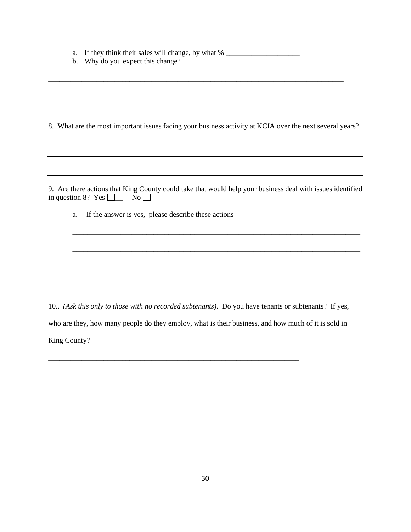a. If they think their sales will change, by what  $%$ 

b. Why do you expect this change?

8. What are the most important issues facing your business activity at KCIA over the next several years?

\_\_\_\_\_\_\_\_\_\_\_\_\_\_\_\_\_\_\_\_\_\_\_\_\_\_\_\_\_\_\_\_\_\_\_\_\_\_\_\_\_\_\_\_\_\_\_\_\_\_\_\_\_\_\_\_\_\_\_\_\_\_\_\_\_\_\_\_\_\_\_\_\_\_\_\_\_\_\_\_

\_\_\_\_\_\_\_\_\_\_\_\_\_\_\_\_\_\_\_\_\_\_\_\_\_\_\_\_\_\_\_\_\_\_\_\_\_\_\_\_\_\_\_\_\_\_\_\_\_\_\_\_\_\_\_\_\_\_\_\_\_\_\_\_\_\_\_\_\_\_\_\_\_\_\_\_\_\_\_\_

9. Are there actions that King County could take that would help your business deal with issues identified in question 8? Yes  $\Box$  No  $\Box$ 

\_\_\_\_\_\_\_\_\_\_\_\_\_\_\_\_\_\_\_\_\_\_\_\_\_\_\_\_\_\_\_\_\_\_\_\_\_\_\_\_\_\_\_\_\_\_\_\_\_\_\_\_\_\_\_\_\_\_\_\_\_\_\_\_\_\_\_\_\_\_\_\_\_\_\_\_\_\_

\_\_\_\_\_\_\_\_\_\_\_\_\_\_\_\_\_\_\_\_\_\_\_\_\_\_\_\_\_\_\_\_\_\_\_\_\_\_\_\_\_\_\_\_\_\_\_\_\_\_\_\_\_\_\_\_\_\_\_\_\_\_\_\_\_\_\_\_\_\_\_\_\_\_\_\_\_\_

a. If the answer is yes, please describe these actions

\_\_\_\_\_\_\_\_\_\_\_\_\_

10.. *(Ask this only to those with no recorded subtenants)*. Do you have tenants or subtenants? If yes, who are they, how many people do they employ, what is their business, and how much of it is sold in King County?

\_\_\_\_\_\_\_\_\_\_\_\_\_\_\_\_\_\_\_\_\_\_\_\_\_\_\_\_\_\_\_\_\_\_\_\_\_\_\_\_\_\_\_\_\_\_\_\_\_\_\_\_\_\_\_\_\_\_\_\_\_\_\_\_\_\_\_\_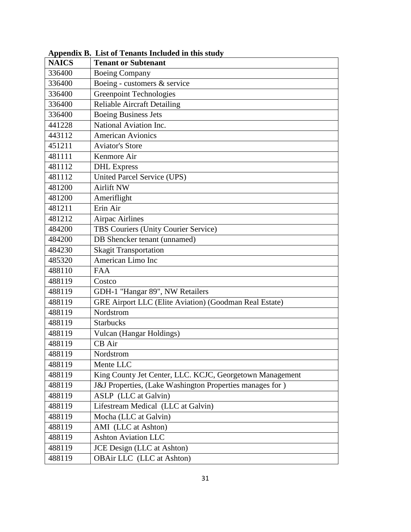| <b>NAICS</b> | <b>Tenant or Subtenant</b>                               |
|--------------|----------------------------------------------------------|
| 336400       | <b>Boeing Company</b>                                    |
| 336400       | Boeing - customers & service                             |
| 336400       | <b>Greenpoint Technologies</b>                           |
| 336400       | <b>Reliable Aircraft Detailing</b>                       |
| 336400       | <b>Boeing Business Jets</b>                              |
| 441228       | National Aviation Inc.                                   |
| 443112       | <b>American Avionics</b>                                 |
| 451211       | Aviator's Store                                          |
| 481111       | Kenmore Air                                              |
| 481112       | <b>DHL</b> Express                                       |
| 481112       | <b>United Parcel Service (UPS)</b>                       |
| 481200       | <b>Airlift NW</b>                                        |
| 481200       | Ameriflight                                              |
| 481211       | Erin Air                                                 |
| 481212       | <b>Airpac Airlines</b>                                   |
| 484200       | TBS Couriers (Unity Courier Service)                     |
| 484200       | DB Shencker tenant (unnamed)                             |
| 484230       | <b>Skagit Transportation</b>                             |
| 485320       | American Limo Inc                                        |
| 488110       | <b>FAA</b>                                               |
| 488119       | Costco                                                   |
| 488119       | GDH-1 "Hangar 89", NW Retailers                          |
| 488119       | GRE Airport LLC (Elite Aviation) (Goodman Real Estate)   |
| 488119       | Nordstrom                                                |
| 488119       | <b>Starbucks</b>                                         |
| 488119       | Vulcan (Hangar Holdings)                                 |
| 488119       | CB Air                                                   |
| 488119       | Nordstrom                                                |
| 488119       | Mente LLC                                                |
| 488119       | King County Jet Center, LLC. KCJC, Georgetown Management |
| 488119       | J&J Properties, (Lake Washington Properties manages for) |
| 488119       | ASLP (LLC at Galvin)                                     |
| 488119       | Lifestream Medical (LLC at Galvin)                       |
| 488119       | Mocha (LLC at Galvin)                                    |
| 488119       | AMI (LLC at Ashton)                                      |
| 488119       | <b>Ashton Aviation LLC</b>                               |
| 488119       | <b>JCE Design (LLC at Ashton)</b>                        |
| 488119       | OBAir LLC (LLC at Ashton)                                |

**Appendix B. List of Tenants Included in this study**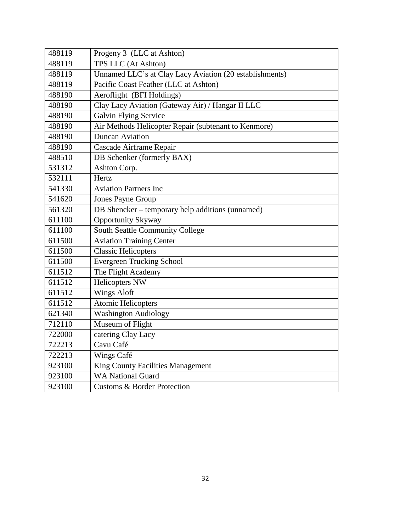| 488119 | Progeny 3 (LLC at Ashton)                               |
|--------|---------------------------------------------------------|
| 488119 | TPS LLC (At Ashton)                                     |
| 488119 | Unnamed LLC's at Clay Lacy Aviation (20 establishments) |
| 488119 | Pacific Coast Feather (LLC at Ashton)                   |
| 488190 | Aeroflight (BFI Holdings)                               |
| 488190 | Clay Lacy Aviation (Gateway Air) / Hangar II LLC        |
| 488190 | <b>Galvin Flying Service</b>                            |
| 488190 | Air Methods Helicopter Repair (subtenant to Kenmore)    |
| 488190 | <b>Duncan Aviation</b>                                  |
| 488190 | Cascade Airframe Repair                                 |
| 488510 | DB Schenker (formerly BAX)                              |
| 531312 | Ashton Corp.                                            |
| 532111 | Hertz                                                   |
| 541330 | <b>Aviation Partners Inc</b>                            |
| 541620 | Jones Payne Group                                       |
| 561320 | DB Shencker - temporary help additions (unnamed)        |
| 611100 | <b>Opportunity Skyway</b>                               |
| 611100 | <b>South Seattle Community College</b>                  |
| 611500 | <b>Aviation Training Center</b>                         |
| 611500 | <b>Classic Helicopters</b>                              |
| 611500 | <b>Evergreen Trucking School</b>                        |
| 611512 | The Flight Academy                                      |
| 611512 | Helicopters NW                                          |
| 611512 | <b>Wings Aloft</b>                                      |
| 611512 | <b>Atomic Helicopters</b>                               |
| 621340 | <b>Washington Audiology</b>                             |
| 712110 | $\overline{\text{M}}$ useum of Flight                   |
| 722000 | catering Clay Lacy                                      |
| 722213 | Cavu Café                                               |
| 722213 | Wings Café                                              |
| 923100 | King County Facilities Management                       |
| 923100 | <b>WA National Guard</b>                                |
| 923100 | <b>Customs &amp; Border Protection</b>                  |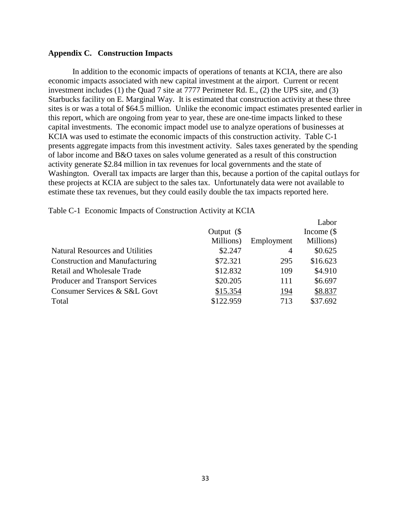## **Appendix C. Construction Impacts**

In addition to the economic impacts of operations of tenants at KCIA, there are also economic impacts associated with new capital investment at the airport. Current or recent investment includes (1) the Quad 7 site at 7777 Perimeter Rd. E., (2) the UPS site, and (3) Starbucks facility on E. Marginal Way. It is estimated that construction activity at these three sites is or was a total of \$64.5 million. Unlike the economic impact estimates presented earlier in this report, which are ongoing from year to year, these are one-time impacts linked to these capital investments. The economic impact model use to analyze operations of businesses at KCIA was used to estimate the economic impacts of this construction activity. Table C-1 presents aggregate impacts from this investment activity. Sales taxes generated by the spending of labor income and B&O taxes on sales volume generated as a result of this construction activity generate \$2.84 million in tax revenues for local governments and the state of Washington. Overall tax impacts are larger than this, because a portion of the capital outlays for these projects at KCIA are subject to the sales tax. Unfortunately data were not available to estimate these tax revenues, but they could easily double the tax impacts reported here.

Table C-1 Economic Impacts of Construction Activity at KCIA

|                                        |            |            | Labor      |
|----------------------------------------|------------|------------|------------|
|                                        | Output (\$ |            | Income $$$ |
|                                        | Millions)  | Employment | Millions)  |
| <b>Natural Resources and Utilities</b> | \$2.247    | 4          | \$0.625    |
| <b>Construction and Manufacturing</b>  | \$72.321   | 295        | \$16.623   |
| Retail and Wholesale Trade             | \$12.832   | 109        | \$4.910    |
| Producer and Transport Services        | \$20.205   | 111        | \$6.697    |
| Consumer Services & S&L Govt           | \$15.354   | 194        | \$8.837    |
| Total                                  | \$122.959  | 713        | \$37.692   |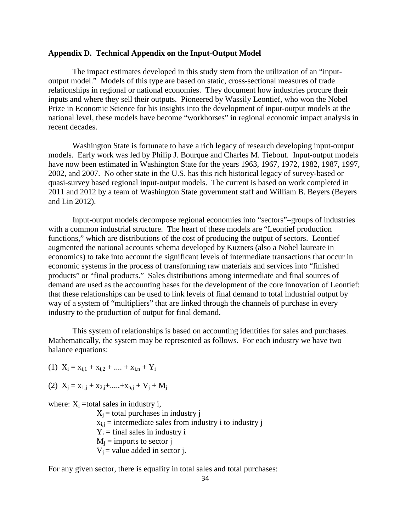#### **Appendix D. Technical Appendix on the Input-Output Model**

The impact estimates developed in this study stem from the utilization of an "inputoutput model." Models of this type are based on static, cross-sectional measures of trade relationships in regional or national economies. They document how industries procure their inputs and where they sell their outputs. Pioneered by Wassily Leontief, who won the Nobel Prize in Economic Science for his insights into the development of input-output models at the national level, these models have become "workhorses" in regional economic impact analysis in recent decades.

Washington State is fortunate to have a rich legacy of research developing input-output models. Early work was led by Philip J. Bourque and Charles M. Tiebout. Input-output models have now been estimated in Washington State for the years 1963, 1967, 1972, 1982, 1987, 1997, 2002, and 2007. No other state in the U.S. has this rich historical legacy of survey-based or quasi-survey based regional input-output models. The current is based on work completed in 2011 and 2012 by a team of Washington State government staff and William B. Beyers (Beyers and Lin 2012).

Input-output models decompose regional economies into "sectors"–groups of industries with a common industrial structure. The heart of these models are "Leontief production functions," which are distributions of the cost of producing the output of sectors. Leontief augmented the national accounts schema developed by Kuznets (also a Nobel laureate in economics) to take into account the significant levels of intermediate transactions that occur in economic systems in the process of transforming raw materials and services into "finished products" or "final products." Sales distributions among intermediate and final sources of demand are used as the accounting bases for the development of the core innovation of Leontief: that these relationships can be used to link levels of final demand to total industrial output by way of a system of "multipliers" that are linked through the channels of purchase in every industry to the production of output for final demand.

This system of relationships is based on accounting identities for sales and purchases. Mathematically, the system may be represented as follows. For each industry we have two balance equations:

- (1)  $X_i = x_{i,1} + x_{i,2} + \dots + x_{i,n} + Y_i$
- (2)  $X_i = x_{1,i} + x_{2,i} + \ldots + x_{n,i} + V_i + M_i$

where:  $X_i$  =total sales in industry i,

 $X_i$  = total purchases in industry j  $x_{i,j}$  = intermediate sales from industry i to industry j  $Y_i$  = final sales in industry i  $M_i$  = imports to sector j  $V_i$  = value added in sector j.

For any given sector, there is equality in total sales and total purchases: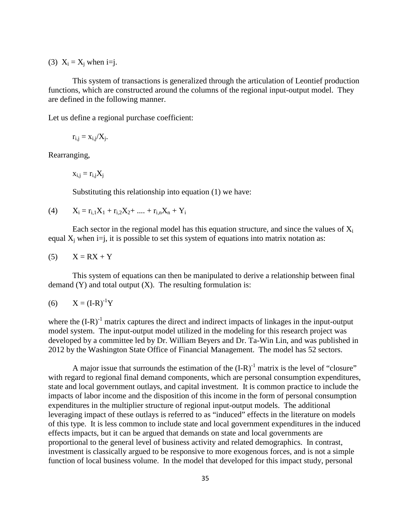(3)  $X_i = X_i$  when  $i=j$ .

This system of transactions is generalized through the articulation of Leontief production functions, which are constructed around the columns of the regional input-output model. They are defined in the following manner.

Let us define a regional purchase coefficient:

$$
r_{i,j}=x_{i,j}/X_j.
$$

Rearranging,

 $x_{i,j} = r_{i,j} X_j$ 

Substituting this relationship into equation (1) we have:

(4) 
$$
X_i = r_{i,1}X_1 + r_{i,2}X_2 + \dots + r_{i,n}X_n + Y_i
$$

Each sector in the regional model has this equation structure, and since the values of  $X_i$ equal  $X_i$  when i=j, it is possible to set this system of equations into matrix notation as:

$$
(5) \qquad X = RX + Y
$$

This system of equations can then be manipulated to derive a relationship between final demand  $(Y)$  and total output  $(X)$ . The resulting formulation is:

$$
(6) \qquad X = (I-R)^{-1}Y
$$

where the  $(I-R)^{-1}$  matrix captures the direct and indirect impacts of linkages in the input-output model system. The input-output model utilized in the modeling for this research project was developed by a committee led by Dr. William Beyers and Dr. Ta-Win Lin, and was published in 2012 by the Washington State Office of Financial Management. The model has 52 sectors.

A major issue that surrounds the estimation of the  $(I-R)^{-1}$  matrix is the level of "closure" with regard to regional final demand components, which are personal consumption expenditures, state and local government outlays, and capital investment. It is common practice to include the impacts of labor income and the disposition of this income in the form of personal consumption expenditures in the multiplier structure of regional input-output models. The additional leveraging impact of these outlays is referred to as "induced" effects in the literature on models of this type. It is less common to include state and local government expenditures in the induced effects impacts, but it can be argued that demands on state and local governments are proportional to the general level of business activity and related demographics. In contrast, investment is classically argued to be responsive to more exogenous forces, and is not a simple function of local business volume. In the model that developed for this impact study, personal